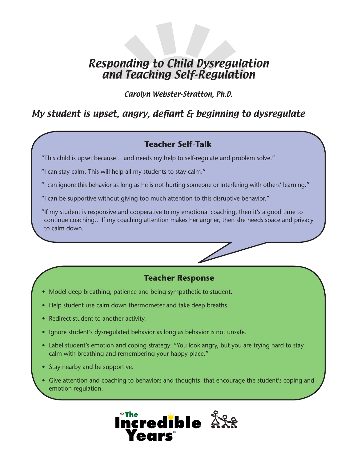# Responding to Child Dysregulation and Teaching Self-Regulation

Carolyn Webster-Stratton, Ph.D.

# My student is upset, angry, defiant & beginning to dysregulate

## **Teacher Self-Talk**

"This child is upset because… and needs my help to self-regulate and problem solve."

"I can stay calm. This will help all my students to stay calm."

"I can ignore this behavior as long as he is not hurting someone or interfering with others' learning."

"I can be supportive without giving too much attention to this disruptive behavior."

"If my student is responsive and cooperative to my emotional coaching, then it's a good time to continue coaching.. If my coaching attention makes her angrier, then she needs space and privacy to calm down.

### **Teacher Response**

- Model deep breathing, patience and being sympathetic to student.
- Help student use calm down thermometer and take deep breaths.
- Redirect student to another activity.
- Ignore student's dysregulated behavior as long as behavior is not unsafe.
- Label student's emotion and coping strategy: "You look angry, but you are trying hard to stay calm with breathing and remembering your happy place."
- Stay nearby and be supportive.
- Give attention and coaching to behaviors and thoughts that encourage the student's coping and emotion regulation.

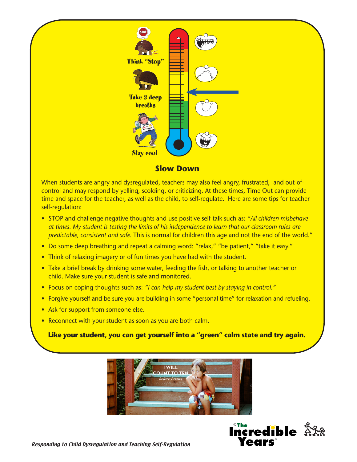

#### **Slow Down**

When students are angry and dysregulated, teachers may also feel angry, frustrated, and out-ofcontrol and may respond by yelling, scolding, or criticizing. At these times, Time Out can provide time and space for the teacher, as well as the child, to self-regulate. Here are some tips for teacher self-regulation:

- STOP and challenge negative thoughts and use positive self-talk such as: *"All children misbehave at times. My student is testing the limits of his independence to learn that our classroom rules are predictable, consistent and safe.* This is normal for children this age and not the end of the world."
- Do some deep breathing and repeat a calming word: "relax," "be patient," "take it easy."
- Think of relaxing imagery or of fun times you have had with the student.
- Take a brief break by drinking some water, feeding the fish, or talking to another teacher or child. Make sure your student is safe and monitored.
- Focus on coping thoughts such as: *"I can help my student best by staying in control."*
- Forgive yourself and be sure you are building in some "personal time" for relaxation and refueling.
- Ask for support from someone else.
- Reconnect with your student as soon as you are both calm.

**Like your student, you can get yourself into a "green" calm state and try again.** 



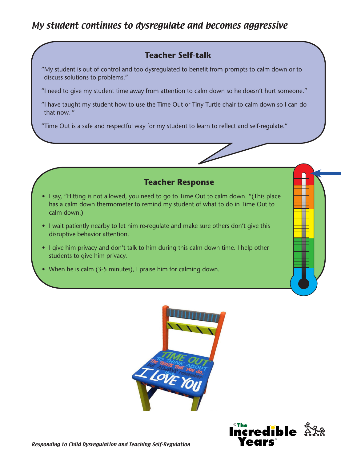# My student continues to dysregulate and becomes aggressive

### **Teacher Self-talk**

"My student is out of control and too dysregulated to benefit from prompts to calm down or to discuss solutions to problems."

"I need to give my student time away from attention to calm down so he doesn't hurt someone."

"I have taught my student how to use the Time Out or Tiny Turtle chair to calm down so I can do that now. "

"Time Out is a safe and respectful way for my student to learn to reflect and self-regulate."

#### **Teacher Response**

- I say, "Hitting is not allowed, you need to go to Time Out to calm down. "(This place has a calm down thermometer to remind my student of what to do in Time Out to calm down.)
- I wait patiently nearby to let him re-regulate and make sure others don't give this disruptive behavior attention.
- I give him privacy and don't talk to him during this calm down time. I help other students to give him privacy.
- When he is calm (3-5 minutes), I praise him for calming down.